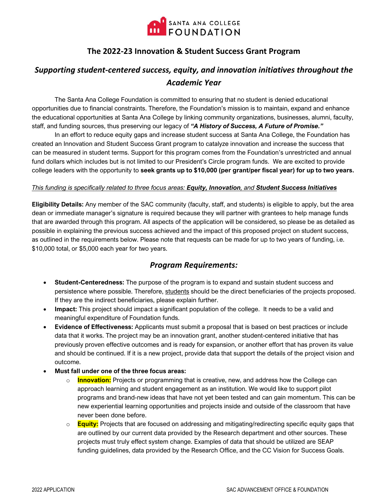

## **The 2022-23 Innovation & Student Success Grant Program**

# *Supporting student-centered success, equity, and innovation initiatives throughout the Academic Year*

The Santa Ana College Foundation is committed to ensuring that no student is denied educational opportunities due to financial constraints. Therefore, the Foundation's mission is to maintain, expand and enhance the educational opportunities at Santa Ana College by linking community organizations, businesses, alumni, faculty, staff, and funding sources, thus preserving our legacy of *"A History of Success, A Future of Promise."*

In an effort to reduce equity gaps and increase student success at Santa Ana College, the Foundation has created an Innovation and Student Success Grant program to catalyze innovation and increase the success that can be measured in student terms. Support for this program comes from the Foundation's unrestricted and annual fund dollars which includes but is not limited to our President's Circle program funds. We are excited to provide college leaders with the opportunity to **seek grants up to \$10,000 (per grant/per fiscal year) for up to two years.**

### *This funding is specifically related to three focus areas: Equity, Innovation, and Student Success Initiatives*

**Eligibility Details:** Any member of the SAC community (faculty, staff, and students) is eligible to apply, but the area dean or immediate manager's signature is required because they will partner with grantees to help manage funds that are awarded through this program. All aspects of the application will be considered, so please be as detailed as possible in explaining the previous success achieved and the impact of this proposed project on student success, as outlined in the requirements below. Please note that requests can be made for up to two years of funding, i.e. \$10,000 total, or \$5,000 each year for two years.

### *Program Requirements:*

- **Student-Centeredness:** The purpose of the program is to expand and sustain student success and persistence where possible. Therefore, students should be the direct beneficiaries of the projects proposed. If they are the indirect beneficiaries, please explain further.
- **Impact:** This project should impact a significant population of the college. It needs to be a valid and meaningful expenditure of Foundation funds.
- **Evidence of Effectiveness:** Applicants must submit a proposal that is based on best practices or include data that it works. The project may be an innovation grant, another student-centered initiative that has previously proven effective outcomes and is ready for expansion, or another effort that has proven its value and should be continued. If it is a new project, provide data that support the details of the project vision and outcome.
- **Must fall under one of the three focus areas:** 
	- **Innovation:** Projects or programming that is creative, new, and address how the College can approach learning and student engagement as an institution. We would like to support pilot programs and brand-new ideas that have not yet been tested and can gain momentum. This can be new experiential learning opportunities and projects inside and outside of the classroom that have never been done before.
	- o **Equity:** Projects that are focused on addressing and mitigating/redirecting specific equity gaps that are outlined by our current data provided by the Research department and other sources. These projects must truly effect system change. Examples of data that should be utilized are SEAP funding guidelines, data provided by the Research Office, and the CC Vision for Success Goals.